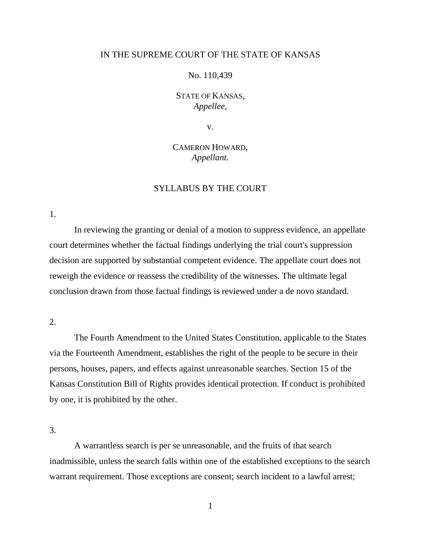## IN THE SUPREME COURT OF THE STATE OF KANSAS

## No. 110,439

## STATE OF KANSAS, *Appellee,*

v.

# CAMERON HOWARD, *Appellant.*

## SYLLABUS BY THE COURT

1.

In reviewing the granting or denial of a motion to suppress evidence, an appellate court determines whether the factual findings underlying the trial court's suppression decision are supported by substantial competent evidence. The appellate court does not reweigh the evidence or reassess the credibility of the witnesses. The ultimate legal conclusion drawn from those factual findings is reviewed under a de novo standard.

## 2.

The Fourth Amendment to the United States Constitution, applicable to the States via the Fourteenth Amendment, establishes the right of the people to be secure in their persons, houses, papers, and effects against unreasonable searches. Section 15 of the Kansas Constitution Bill of Rights provides identical protection. If conduct is prohibited by one, it is prohibited by the other.

3.

A warrantless search is per se unreasonable, and the fruits of that search inadmissible, unless the search falls within one of the established exceptions to the search warrant requirement. Those exceptions are consent; search incident to a lawful arrest;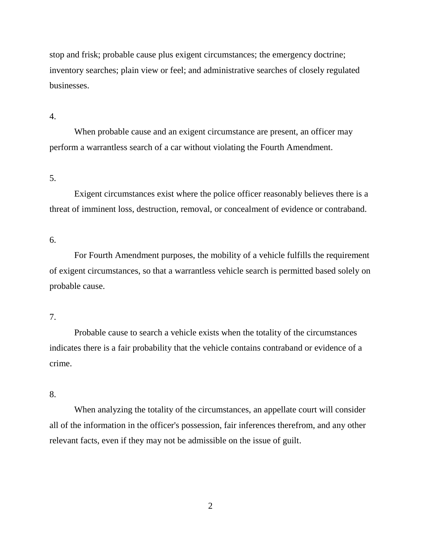stop and frisk; probable cause plus exigent circumstances; the emergency doctrine; inventory searches; plain view or feel; and administrative searches of closely regulated businesses.

4.

When probable cause and an exigent circumstance are present, an officer may perform a warrantless search of a car without violating the Fourth Amendment.

5.

Exigent circumstances exist where the police officer reasonably believes there is a threat of imminent loss, destruction, removal, or concealment of evidence or contraband.

6.

For Fourth Amendment purposes, the mobility of a vehicle fulfills the requirement of exigent circumstances, so that a warrantless vehicle search is permitted based solely on probable cause.

7.

Probable cause to search a vehicle exists when the totality of the circumstances indicates there is a fair probability that the vehicle contains contraband or evidence of a crime.

8.

When analyzing the totality of the circumstances, an appellate court will consider all of the information in the officer's possession, fair inferences therefrom, and any other relevant facts, even if they may not be admissible on the issue of guilt.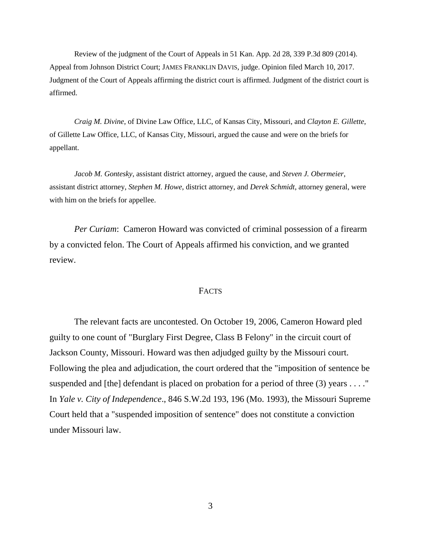Review of the judgment of the Court of Appeals in 51 Kan. App. 2d 28, 339 P.3d 809 (2014). Appeal from Johnson District Court; JAMES FRANKLIN DAVIS, judge. Opinion filed March 10, 2017. Judgment of the Court of Appeals affirming the district court is affirmed. Judgment of the district court is affirmed.

*Craig M. Divine*, of Divine Law Office, LLC, of Kansas City, Missouri, and *Clayton E. Gillette*, of Gillette Law Office, LLC, of Kansas City, Missouri, argued the cause and were on the briefs for appellant.

*Jacob M. Gontesky*, assistant district attorney, argued the cause, and *Steven J. Obermeier*, assistant district attorney, *Stephen M. Howe*, district attorney, and *Derek Schmidt*, attorney general, were with him on the briefs for appellee.

*Per Curiam*: Cameron Howard was convicted of criminal possession of a firearm by a convicted felon. The Court of Appeals affirmed his conviction, and we granted review.

#### **FACTS**

The relevant facts are uncontested. On October 19, 2006, Cameron Howard pled guilty to one count of "Burglary First Degree, Class B Felony" in the circuit court of Jackson County, Missouri. Howard was then adjudged guilty by the Missouri court. Following the plea and adjudication, the court ordered that the "imposition of sentence be suspended and [the] defendant is placed on probation for a period of three  $(3)$  years . . . ." In *Yale v. City of Independence*., 846 S.W.2d 193, 196 (Mo. 1993), the Missouri Supreme Court held that a "suspended imposition of sentence" does not constitute a conviction under Missouri law.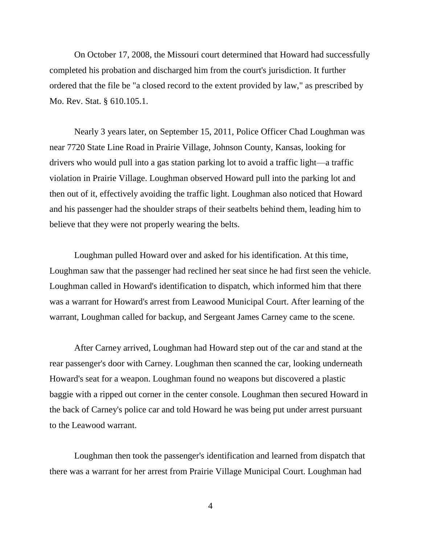On October 17, 2008, the Missouri court determined that Howard had successfully completed his probation and discharged him from the court's jurisdiction. It further ordered that the file be "a closed record to the extent provided by law," as prescribed by Mo. Rev. Stat. § 610.105.1.

Nearly 3 years later, on September 15, 2011, Police Officer Chad Loughman was near 7720 State Line Road in Prairie Village, Johnson County, Kansas, looking for drivers who would pull into a gas station parking lot to avoid a traffic light—a traffic violation in Prairie Village. Loughman observed Howard pull into the parking lot and then out of it, effectively avoiding the traffic light. Loughman also noticed that Howard and his passenger had the shoulder straps of their seatbelts behind them, leading him to believe that they were not properly wearing the belts.

Loughman pulled Howard over and asked for his identification. At this time, Loughman saw that the passenger had reclined her seat since he had first seen the vehicle. Loughman called in Howard's identification to dispatch, which informed him that there was a warrant for Howard's arrest from Leawood Municipal Court. After learning of the warrant, Loughman called for backup, and Sergeant James Carney came to the scene.

After Carney arrived, Loughman had Howard step out of the car and stand at the rear passenger's door with Carney. Loughman then scanned the car, looking underneath Howard's seat for a weapon. Loughman found no weapons but discovered a plastic baggie with a ripped out corner in the center console. Loughman then secured Howard in the back of Carney's police car and told Howard he was being put under arrest pursuant to the Leawood warrant.

Loughman then took the passenger's identification and learned from dispatch that there was a warrant for her arrest from Prairie Village Municipal Court. Loughman had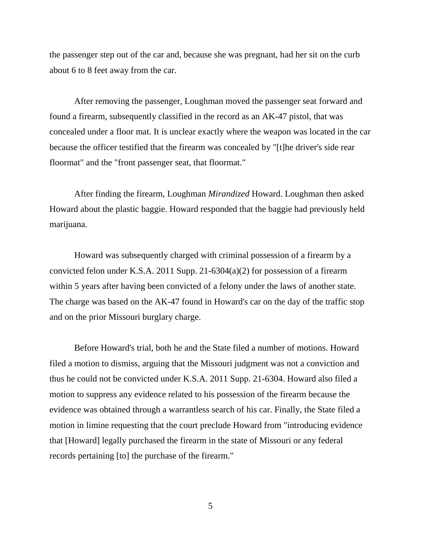the passenger step out of the car and, because she was pregnant, had her sit on the curb about 6 to 8 feet away from the car.

After removing the passenger, Loughman moved the passenger seat forward and found a firearm, subsequently classified in the record as an AK-47 pistol, that was concealed under a floor mat. It is unclear exactly where the weapon was located in the car because the officer testified that the firearm was concealed by "[t]he driver's side rear floormat" and the "front passenger seat, that floormat."

After finding the firearm, Loughman *Mirandized* Howard. Loughman then asked Howard about the plastic baggie. Howard responded that the baggie had previously held marijuana.

Howard was subsequently charged with criminal possession of a firearm by a convicted felon under K.S.A. 2011 Supp. 21-6304(a)(2) for possession of a firearm within 5 years after having been convicted of a felony under the laws of another state. The charge was based on the AK-47 found in Howard's car on the day of the traffic stop and on the prior Missouri burglary charge.

Before Howard's trial, both he and the State filed a number of motions. Howard filed a motion to dismiss, arguing that the Missouri judgment was not a conviction and thus he could not be convicted under K.S.A. 2011 Supp. 21-6304. Howard also filed a motion to suppress any evidence related to his possession of the firearm because the evidence was obtained through a warrantless search of his car. Finally, the State filed a motion in limine requesting that the court preclude Howard from "introducing evidence that [Howard] legally purchased the firearm in the state of Missouri or any federal records pertaining [to] the purchase of the firearm."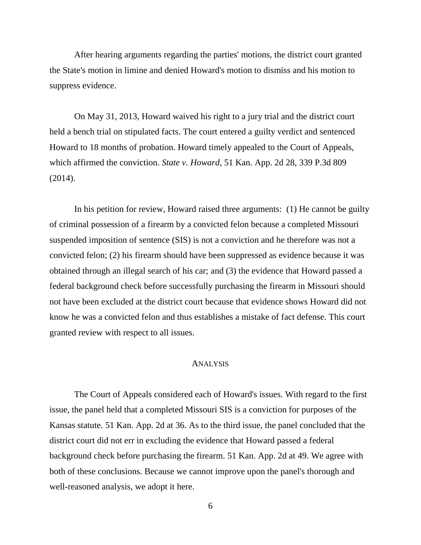After hearing arguments regarding the parties' motions, the district court granted the State's motion in limine and denied Howard's motion to dismiss and his motion to suppress evidence.

On May 31, 2013, Howard waived his right to a jury trial and the district court held a bench trial on stipulated facts. The court entered a guilty verdict and sentenced Howard to 18 months of probation. Howard timely appealed to the Court of Appeals, which affirmed the conviction. *State v. Howard*, 51 Kan. App. 2d 28, 339 P.3d 809 (2014).

In his petition for review, Howard raised three arguments: (1) He cannot be guilty of criminal possession of a firearm by a convicted felon because a completed Missouri suspended imposition of sentence (SIS) is not a conviction and he therefore was not a convicted felon; (2) his firearm should have been suppressed as evidence because it was obtained through an illegal search of his car; and (3) the evidence that Howard passed a federal background check before successfully purchasing the firearm in Missouri should not have been excluded at the district court because that evidence shows Howard did not know he was a convicted felon and thus establishes a mistake of fact defense. This court granted review with respect to all issues.

## **ANALYSIS**

The Court of Appeals considered each of Howard's issues. With regard to the first issue, the panel held that a completed Missouri SIS is a conviction for purposes of the Kansas statute. 51 Kan. App. 2d at 36. As to the third issue, the panel concluded that the district court did not err in excluding the evidence that Howard passed a federal background check before purchasing the firearm. 51 Kan. App. 2d at 49. We agree with both of these conclusions. Because we cannot improve upon the panel's thorough and well-reasoned analysis, we adopt it here.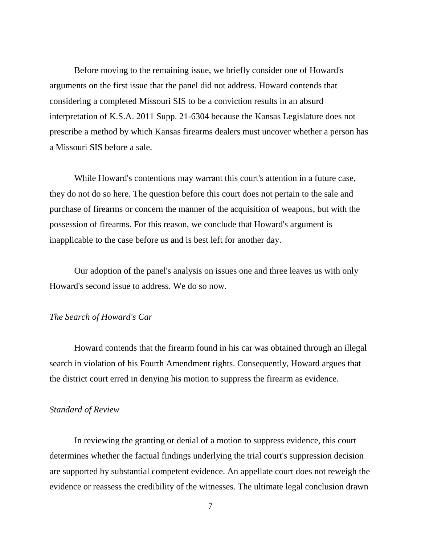Before moving to the remaining issue, we briefly consider one of Howard's arguments on the first issue that the panel did not address. Howard contends that considering a completed Missouri SIS to be a conviction results in an absurd interpretation of K.S.A. 2011 Supp. 21-6304 because the Kansas Legislature does not prescribe a method by which Kansas firearms dealers must uncover whether a person has a Missouri SIS before a sale.

While Howard's contentions may warrant this court's attention in a future case, they do not do so here. The question before this court does not pertain to the sale and purchase of firearms or concern the manner of the acquisition of weapons, but with the possession of firearms. For this reason, we conclude that Howard's argument is inapplicable to the case before us and is best left for another day.

Our adoption of the panel's analysis on issues one and three leaves us with only Howard's second issue to address. We do so now.

#### *The Search of Howard's Car*

Howard contends that the firearm found in his car was obtained through an illegal search in violation of his Fourth Amendment rights. Consequently, Howard argues that the district court erred in denying his motion to suppress the firearm as evidence.

### *Standard of Review*

In reviewing the granting or denial of a motion to suppress evidence, this court determines whether the factual findings underlying the trial court's suppression decision are supported by substantial competent evidence. An appellate court does not reweigh the evidence or reassess the credibility of the witnesses. The ultimate legal conclusion drawn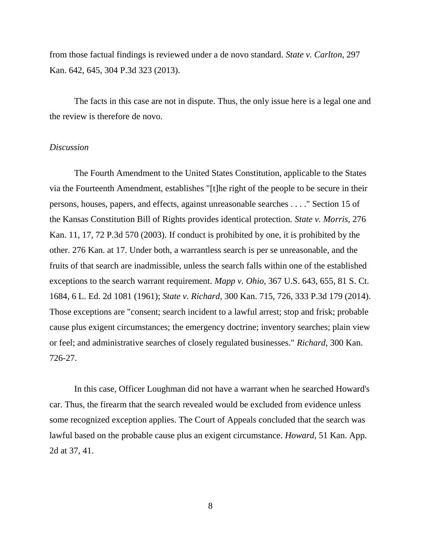from those factual findings is reviewed under a de novo standard. *State v. Carlton*, 297 Kan. 642, 645, 304 P.3d 323 (2013).

The facts in this case are not in dispute. Thus, the only issue here is a legal one and the review is therefore de novo.

## *Discussion*

The Fourth Amendment to the United States Constitution, applicable to the States via the Fourteenth Amendment, establishes "[t]he right of the people to be secure in their persons, houses, papers, and effects, against unreasonable searches . . . ." Section 15 of the Kansas Constitution Bill of Rights provides identical protection. *State v. Morris,* 276 Kan. 11, 17, 72 P.3d 570 (2003). If conduct is prohibited by one, it is prohibited by the other. 276 Kan. at 17. Under both, a warrantless search is per se unreasonable, and the fruits of that search are inadmissible, unless the search falls within one of the established exceptions to the search warrant requirement. *Mapp v. Ohio*, 367 U.S. 643, 655, 81 S. Ct. 1684, 6 L. Ed. 2d 1081 (1961); *State v. Richard*, 300 Kan. 715, 726, 333 P.3d 179 (2014). Those exceptions are "consent; search incident to a lawful arrest; stop and frisk; probable cause plus exigent circumstances; the emergency doctrine; inventory searches; plain view or feel; and administrative searches of closely regulated businesses." *Richard*, 300 Kan. 726-27.

In this case, Officer Loughman did not have a warrant when he searched Howard's car. Thus, the firearm that the search revealed would be excluded from evidence unless some recognized exception applies. The Court of Appeals concluded that the search was lawful based on the probable cause plus an exigent circumstance. *Howard*, 51 Kan. App. 2d at 37, 41.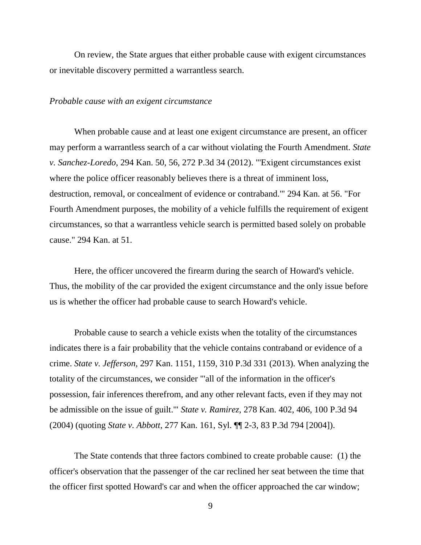On review, the State argues that either probable cause with exigent circumstances or inevitable discovery permitted a warrantless search.

#### *Probable cause with an exigent circumstance*

When probable cause and at least one exigent circumstance are present, an officer may perform a warrantless search of a car without violating the Fourth Amendment. *State v. Sanchez-Loredo*, 294 Kan. 50, 56, 272 P.3d 34 (2012). "'Exigent circumstances exist where the police officer reasonably believes there is a threat of imminent loss, destruction, removal, or concealment of evidence or contraband.'" 294 Kan. at 56. "For Fourth Amendment purposes, the mobility of a vehicle fulfills the requirement of exigent circumstances, so that a warrantless vehicle search is permitted based solely on probable cause." 294 Kan. at 51.

Here, the officer uncovered the firearm during the search of Howard's vehicle. Thus, the mobility of the car provided the exigent circumstance and the only issue before us is whether the officer had probable cause to search Howard's vehicle.

Probable cause to search a vehicle exists when the totality of the circumstances indicates there is a fair probability that the vehicle contains contraband or evidence of a crime. *State v. Jefferson*, 297 Kan. 1151, 1159, 310 P.3d 331 (2013). When analyzing the totality of the circumstances, we consider "'all of the information in the officer's possession, fair inferences therefrom, and any other relevant facts, even if they may not be admissible on the issue of guilt.'" *State v. Ramirez*, 278 Kan. 402, 406, 100 P.3d 94 (2004) (quoting *State v. Abbott*, 277 Kan. 161, Syl. ¶¶ 2-3, 83 P.3d 794 [2004]).

The State contends that three factors combined to create probable cause: (1) the officer's observation that the passenger of the car reclined her seat between the time that the officer first spotted Howard's car and when the officer approached the car window;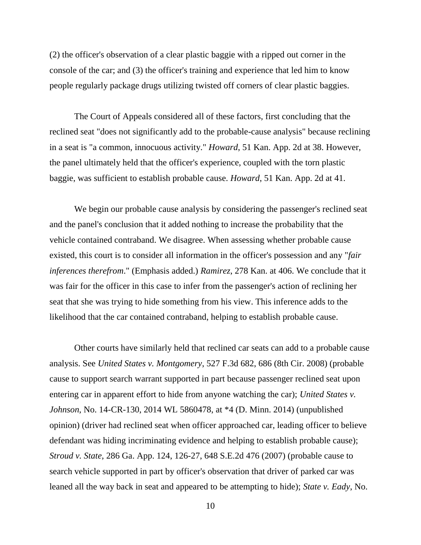(2) the officer's observation of a clear plastic baggie with a ripped out corner in the console of the car; and (3) the officer's training and experience that led him to know people regularly package drugs utilizing twisted off corners of clear plastic baggies.

The Court of Appeals considered all of these factors, first concluding that the reclined seat "does not significantly add to the probable-cause analysis" because reclining in a seat is "a common, innocuous activity." *Howard*, 51 Kan. App. 2d at 38. However, the panel ultimately held that the officer's experience, coupled with the torn plastic baggie, was sufficient to establish probable cause. *Howard*, 51 Kan. App. 2d at 41.

We begin our probable cause analysis by considering the passenger's reclined seat and the panel's conclusion that it added nothing to increase the probability that the vehicle contained contraband. We disagree. When assessing whether probable cause existed, this court is to consider all information in the officer's possession and any "*fair inferences therefrom*." (Emphasis added.) *Ramirez*, 278 Kan. at 406. We conclude that it was fair for the officer in this case to infer from the passenger's action of reclining her seat that she was trying to hide something from his view. This inference adds to the likelihood that the car contained contraband, helping to establish probable cause.

Other courts have similarly held that reclined car seats can add to a probable cause analysis. See *United States v. Montgomery*, 527 F.3d 682, 686 (8th Cir. 2008) (probable cause to support search warrant supported in part because passenger reclined seat upon entering car in apparent effort to hide from anyone watching the car); *United States v. Johnson*, No. 14-CR-130, 2014 WL 5860478, at \*4 (D. Minn. 2014) (unpublished opinion) (driver had reclined seat when officer approached car, leading officer to believe defendant was hiding incriminating evidence and helping to establish probable cause); *Stroud v. State*, 286 Ga. App. 124, 126-27, 648 S.E.2d 476 (2007) (probable cause to search vehicle supported in part by officer's observation that driver of parked car was leaned all the way back in seat and appeared to be attempting to hide); *State v. Eady*, No.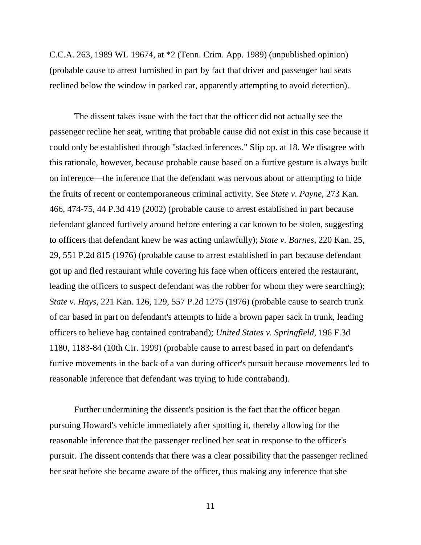C.C.A. 263, 1989 WL 19674, at \*2 (Tenn. Crim. App. 1989) (unpublished opinion) (probable cause to arrest furnished in part by fact that driver and passenger had seats reclined below the window in parked car, apparently attempting to avoid detection).

The dissent takes issue with the fact that the officer did not actually see the passenger recline her seat, writing that probable cause did not exist in this case because it could only be established through "stacked inferences." Slip op. at 18. We disagree with this rationale, however, because probable cause based on a furtive gesture is always built on inference—the inference that the defendant was nervous about or attempting to hide the fruits of recent or contemporaneous criminal activity. See *State v. Payne,* 273 Kan. 466, 474-75, 44 P.3d 419 (2002) (probable cause to arrest established in part because defendant glanced furtively around before entering a car known to be stolen, suggesting to officers that defendant knew he was acting unlawfully); *State v. Barnes*, 220 Kan. 25, 29, 551 P.2d 815 (1976) (probable cause to arrest established in part because defendant got up and fled restaurant while covering his face when officers entered the restaurant, leading the officers to suspect defendant was the robber for whom they were searching); *State v. Hays*, 221 Kan. 126, 129, 557 P.2d 1275 (1976) (probable cause to search trunk of car based in part on defendant's attempts to hide a brown paper sack in trunk, leading officers to believe bag contained contraband); *United States v. Springfield*, 196 F.3d 1180, 1183-84 (10th Cir. 1999) (probable cause to arrest based in part on defendant's furtive movements in the back of a van during officer's pursuit because movements led to reasonable inference that defendant was trying to hide contraband).

Further undermining the dissent's position is the fact that the officer began pursuing Howard's vehicle immediately after spotting it, thereby allowing for the reasonable inference that the passenger reclined her seat in response to the officer's pursuit. The dissent contends that there was a clear possibility that the passenger reclined her seat before she became aware of the officer, thus making any inference that she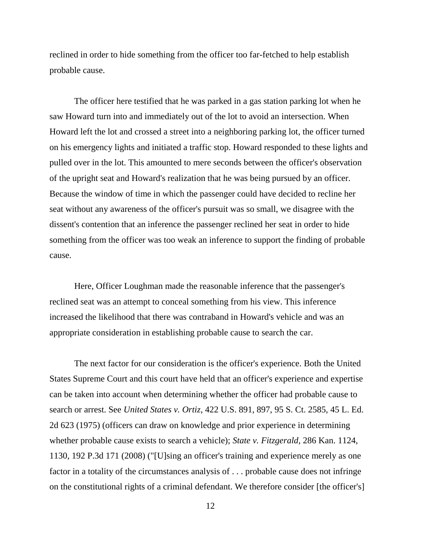reclined in order to hide something from the officer too far-fetched to help establish probable cause.

The officer here testified that he was parked in a gas station parking lot when he saw Howard turn into and immediately out of the lot to avoid an intersection. When Howard left the lot and crossed a street into a neighboring parking lot, the officer turned on his emergency lights and initiated a traffic stop. Howard responded to these lights and pulled over in the lot. This amounted to mere seconds between the officer's observation of the upright seat and Howard's realization that he was being pursued by an officer. Because the window of time in which the passenger could have decided to recline her seat without any awareness of the officer's pursuit was so small, we disagree with the dissent's contention that an inference the passenger reclined her seat in order to hide something from the officer was too weak an inference to support the finding of probable cause.

Here, Officer Loughman made the reasonable inference that the passenger's reclined seat was an attempt to conceal something from his view. This inference increased the likelihood that there was contraband in Howard's vehicle and was an appropriate consideration in establishing probable cause to search the car.

The next factor for our consideration is the officer's experience. Both the United States Supreme Court and this court have held that an officer's experience and expertise can be taken into account when determining whether the officer had probable cause to search or arrest. See *United States v. Ortiz*, 422 U.S. 891, 897, 95 S. Ct. 2585, 45 L. Ed. 2d 623 (1975) (officers can draw on knowledge and prior experience in determining whether probable cause exists to search a vehicle); *State v. Fitzgerald*, 286 Kan. 1124, 1130, 192 P.3d 171 (2008) ("[U]sing an officer's training and experience merely as one factor in a totality of the circumstances analysis of . . . probable cause does not infringe on the constitutional rights of a criminal defendant. We therefore consider [the officer's]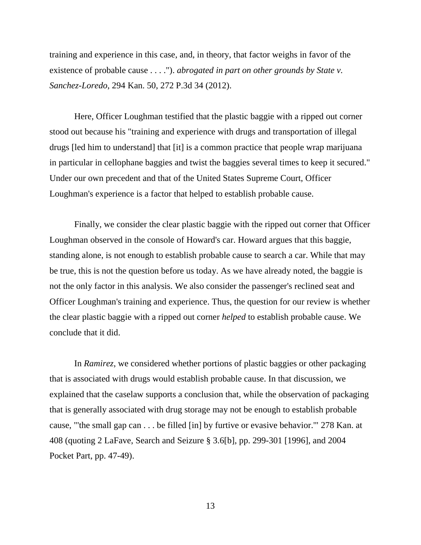training and experience in this case, and, in theory, that factor weighs in favor of the existence of probable cause . . . ."). *abrogated in part on other grounds by State v. Sanchez-Loredo*, 294 Kan. 50, 272 P.3d 34 (2012).

Here, Officer Loughman testified that the plastic baggie with a ripped out corner stood out because his "training and experience with drugs and transportation of illegal drugs [led him to understand] that [it] is a common practice that people wrap marijuana in particular in cellophane baggies and twist the baggies several times to keep it secured." Under our own precedent and that of the United States Supreme Court, Officer Loughman's experience is a factor that helped to establish probable cause.

Finally, we consider the clear plastic baggie with the ripped out corner that Officer Loughman observed in the console of Howard's car. Howard argues that this baggie, standing alone, is not enough to establish probable cause to search a car. While that may be true, this is not the question before us today. As we have already noted, the baggie is not the only factor in this analysis. We also consider the passenger's reclined seat and Officer Loughman's training and experience. Thus, the question for our review is whether the clear plastic baggie with a ripped out corner *helped* to establish probable cause. We conclude that it did.

In *Ramirez*, we considered whether portions of plastic baggies or other packaging that is associated with drugs would establish probable cause. In that discussion, we explained that the caselaw supports a conclusion that, while the observation of packaging that is generally associated with drug storage may not be enough to establish probable cause, "'the small gap can . . . be filled [in] by furtive or evasive behavior.'" 278 Kan. at 408 (quoting 2 LaFave, Search and Seizure § 3.6[b], pp. 299-301 [1996], and 2004 Pocket Part, pp. 47-49).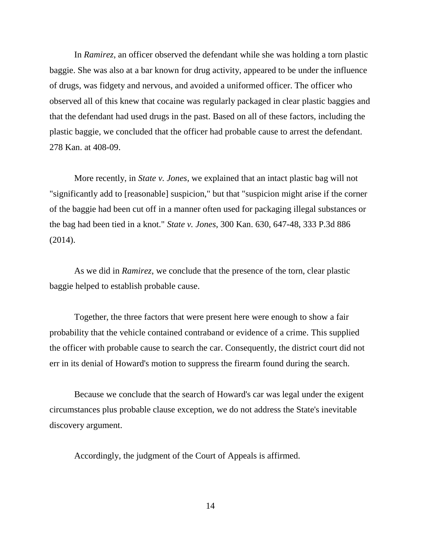In *Ramirez*, an officer observed the defendant while she was holding a torn plastic baggie. She was also at a bar known for drug activity, appeared to be under the influence of drugs, was fidgety and nervous, and avoided a uniformed officer. The officer who observed all of this knew that cocaine was regularly packaged in clear plastic baggies and that the defendant had used drugs in the past. Based on all of these factors, including the plastic baggie, we concluded that the officer had probable cause to arrest the defendant. 278 Kan. at 408-09.

More recently, in *State v. Jones*, we explained that an intact plastic bag will not "significantly add to [reasonable] suspicion," but that "suspicion might arise if the corner of the baggie had been cut off in a manner often used for packaging illegal substances or the bag had been tied in a knot." *State v. Jones*, 300 Kan. 630, 647-48, 333 P.3d 886 (2014).

As we did in *Ramirez*, we conclude that the presence of the torn, clear plastic baggie helped to establish probable cause.

Together, the three factors that were present here were enough to show a fair probability that the vehicle contained contraband or evidence of a crime. This supplied the officer with probable cause to search the car. Consequently, the district court did not err in its denial of Howard's motion to suppress the firearm found during the search.

Because we conclude that the search of Howard's car was legal under the exigent circumstances plus probable clause exception, we do not address the State's inevitable discovery argument.

Accordingly, the judgment of the Court of Appeals is affirmed.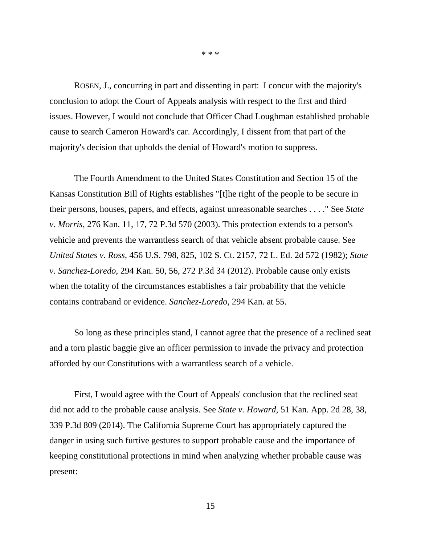ROSEN, J., concurring in part and dissenting in part: I concur with the majority's conclusion to adopt the Court of Appeals analysis with respect to the first and third issues. However, I would not conclude that Officer Chad Loughman established probable cause to search Cameron Howard's car. Accordingly, I dissent from that part of the majority's decision that upholds the denial of Howard's motion to suppress.

The Fourth Amendment to the United States Constitution and Section 15 of the Kansas Constitution Bill of Rights establishes "[t]he right of the people to be secure in their persons, houses, papers, and effects, against unreasonable searches . . . ." See *State v. Morris,* 276 Kan. 11, 17, 72 P.3d 570 (2003). This protection extends to a person's vehicle and prevents the warrantless search of that vehicle absent probable cause. See *United States v. Ross*, 456 U.S. 798, 825, 102 S. Ct. 2157, 72 L. Ed. 2d 572 (1982); *State v. Sanchez-Loredo*, 294 Kan. 50, 56, 272 P.3d 34 (2012). Probable cause only exists when the totality of the circumstances establishes a fair probability that the vehicle contains contraband or evidence. *Sanchez-Loredo*, 294 Kan. at 55.

So long as these principles stand, I cannot agree that the presence of a reclined seat and a torn plastic baggie give an officer permission to invade the privacy and protection afforded by our Constitutions with a warrantless search of a vehicle.

First, I would agree with the Court of Appeals' conclusion that the reclined seat did not add to the probable cause analysis. See *State v. Howard*, 51 Kan. App. 2d 28, 38, 339 P.3d 809 (2014). The California Supreme Court has appropriately captured the danger in using such furtive gestures to support probable cause and the importance of keeping constitutional protections in mind when analyzing whether probable cause was present:

\* \* \*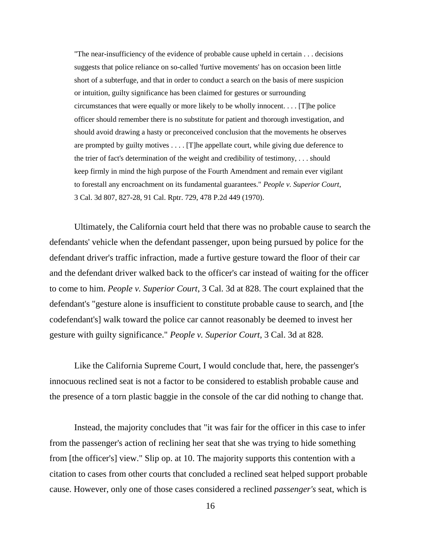"The near-insufficiency of the evidence of probable cause upheld in certain . . . decisions suggests that police reliance on so-called 'furtive movements' has on occasion been little short of a subterfuge, and that in order to conduct a search on the basis of mere suspicion or intuition, guilty significance has been claimed for gestures or surrounding circumstances that were equally or more likely to be wholly innocent. . . . [T]he police officer should remember there is no substitute for patient and thorough investigation, and should avoid drawing a hasty or preconceived conclusion that the movements he observes are prompted by guilty motives . . . . [T]he appellate court, while giving due deference to the trier of fact's determination of the weight and credibility of testimony, . . . should keep firmly in mind the high purpose of the Fourth Amendment and remain ever vigilant to forestall any encroachment on its fundamental guarantees." *People v. Superior Court*, 3 Cal. 3d 807, 827-28, 91 Cal. Rptr. 729, 478 P.2d 449 (1970).

Ultimately, the California court held that there was no probable cause to search the defendants' vehicle when the defendant passenger, upon being pursued by police for the defendant driver's traffic infraction, made a furtive gesture toward the floor of their car and the defendant driver walked back to the officer's car instead of waiting for the officer to come to him. *People v. Superior Court*, 3 Cal. 3d at 828. The court explained that the defendant's "gesture alone is insufficient to constitute probable cause to search, and [the codefendant's] walk toward the police car cannot reasonably be deemed to invest her gesture with guilty significance." *People v. Superior Court*, 3 Cal. 3d at 828.

Like the California Supreme Court, I would conclude that, here, the passenger's innocuous reclined seat is not a factor to be considered to establish probable cause and the presence of a torn plastic baggie in the console of the car did nothing to change that.

Instead, the majority concludes that "it was fair for the officer in this case to infer from the passenger's action of reclining her seat that she was trying to hide something from [the officer's] view." Slip op. at 10. The majority supports this contention with a citation to cases from other courts that concluded a reclined seat helped support probable cause. However, only one of those cases considered a reclined *passenger's* seat, which is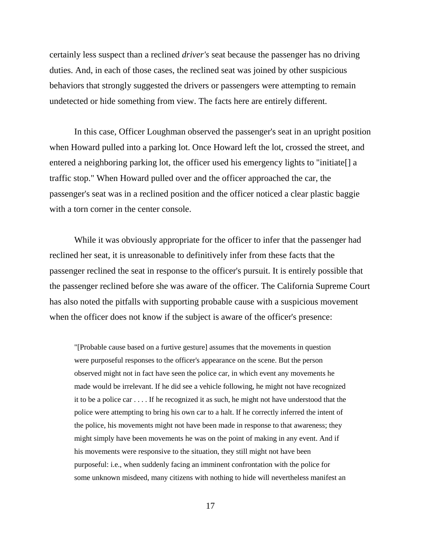certainly less suspect than a reclined *driver's* seat because the passenger has no driving duties. And, in each of those cases, the reclined seat was joined by other suspicious behaviors that strongly suggested the drivers or passengers were attempting to remain undetected or hide something from view. The facts here are entirely different.

In this case, Officer Loughman observed the passenger's seat in an upright position when Howard pulled into a parking lot. Once Howard left the lot, crossed the street, and entered a neighboring parking lot, the officer used his emergency lights to "initiate[] a traffic stop." When Howard pulled over and the officer approached the car, the passenger's seat was in a reclined position and the officer noticed a clear plastic baggie with a torn corner in the center console.

While it was obviously appropriate for the officer to infer that the passenger had reclined her seat, it is unreasonable to definitively infer from these facts that the passenger reclined the seat in response to the officer's pursuit. It is entirely possible that the passenger reclined before she was aware of the officer. The California Supreme Court has also noted the pitfalls with supporting probable cause with a suspicious movement when the officer does not know if the subject is aware of the officer's presence:

"[Probable cause based on a furtive gesture] assumes that the movements in question were purposeful responses to the officer's appearance on the scene. But the person observed might not in fact have seen the police car, in which event any movements he made would be irrelevant. If he did see a vehicle following, he might not have recognized it to be a police car . . . . If he recognized it as such, he might not have understood that the police were attempting to bring his own car to a halt. If he correctly inferred the intent of the police, his movements might not have been made in response to that awareness; they might simply have been movements he was on the point of making in any event. And if his movements were responsive to the situation, they still might not have been purposeful: i.e., when suddenly facing an imminent confrontation with the police for some unknown misdeed, many citizens with nothing to hide will nevertheless manifest an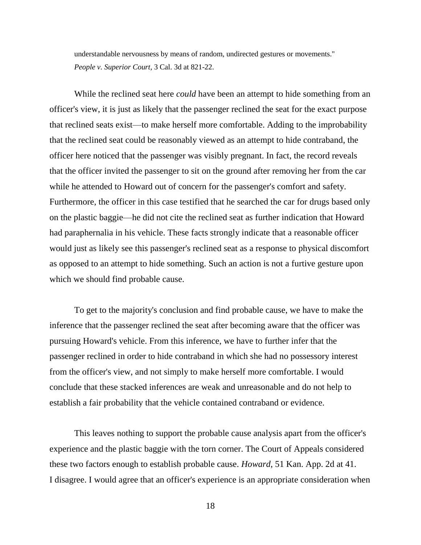understandable nervousness by means of random, undirected gestures or movements." *People v. Superior Court*, 3 Cal. 3d at 821-22.

While the reclined seat here *could* have been an attempt to hide something from an officer's view, it is just as likely that the passenger reclined the seat for the exact purpose that reclined seats exist—to make herself more comfortable. Adding to the improbability that the reclined seat could be reasonably viewed as an attempt to hide contraband, the officer here noticed that the passenger was visibly pregnant. In fact, the record reveals that the officer invited the passenger to sit on the ground after removing her from the car while he attended to Howard out of concern for the passenger's comfort and safety. Furthermore, the officer in this case testified that he searched the car for drugs based only on the plastic baggie—he did not cite the reclined seat as further indication that Howard had paraphernalia in his vehicle. These facts strongly indicate that a reasonable officer would just as likely see this passenger's reclined seat as a response to physical discomfort as opposed to an attempt to hide something. Such an action is not a furtive gesture upon which we should find probable cause.

To get to the majority's conclusion and find probable cause, we have to make the inference that the passenger reclined the seat after becoming aware that the officer was pursuing Howard's vehicle. From this inference, we have to further infer that the passenger reclined in order to hide contraband in which she had no possessory interest from the officer's view, and not simply to make herself more comfortable. I would conclude that these stacked inferences are weak and unreasonable and do not help to establish a fair probability that the vehicle contained contraband or evidence.

This leaves nothing to support the probable cause analysis apart from the officer's experience and the plastic baggie with the torn corner. The Court of Appeals considered these two factors enough to establish probable cause. *Howard*, 51 Kan. App. 2d at 41. I disagree. I would agree that an officer's experience is an appropriate consideration when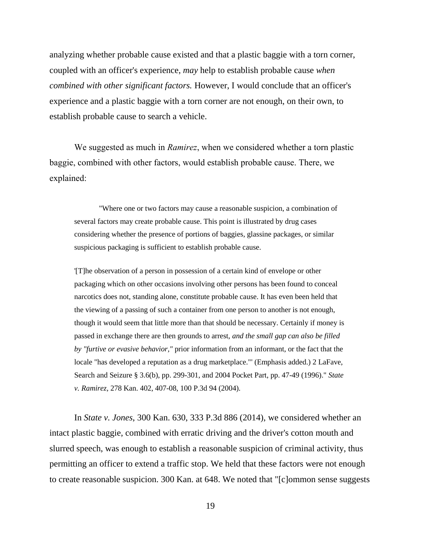analyzing whether probable cause existed and that a plastic baggie with a torn corner, coupled with an officer's experience, *may* help to establish probable cause *when combined with other significant factors.* However, I would conclude that an officer's experience and a plastic baggie with a torn corner are not enough, on their own, to establish probable cause to search a vehicle.

We suggested as much in *Ramirez*, when we considered whether a torn plastic baggie, combined with other factors, would establish probable cause. There, we explained:

"Where one or two factors may cause a reasonable suspicion, a combination of several factors may create probable cause. This point is illustrated by drug cases considering whether the presence of portions of baggies, glassine packages, or similar suspicious packaging is sufficient to establish probable cause.

'[T]he observation of a person in possession of a certain kind of envelope or other packaging which on other occasions involving other persons has been found to conceal narcotics does not, standing alone, constitute probable cause. It has even been held that the viewing of a passing of such a container from one person to another is not enough, though it would seem that little more than that should be necessary. Certainly if money is passed in exchange there are then grounds to arrest, *and the small gap can also be filled by "furtive or evasive behavior,"* prior information from an informant, or the fact that the locale "has developed a reputation as a drug marketplace."' (Emphasis added.) 2 LaFave, Search and Seizure § 3.6(b), pp. 299-301, and 2004 Pocket Part, pp. 47-49 (1996)." *State v. Ramirez*, 278 Kan. 402, 407-08, 100 P.3d 94 (2004).

In *State v. Jones*, 300 Kan. 630, 333 P.3d 886 (2014), we considered whether an intact plastic baggie, combined with erratic driving and the driver's cotton mouth and slurred speech, was enough to establish a reasonable suspicion of criminal activity, thus permitting an officer to extend a traffic stop. We held that these factors were not enough to create reasonable suspicion. 300 Kan. at 648. We noted that "[c]ommon sense suggests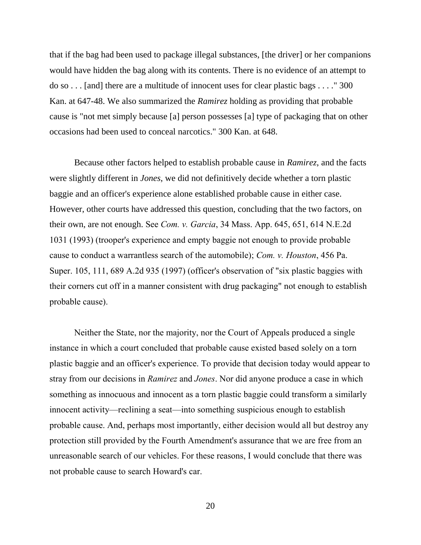that if the bag had been used to package illegal substances, [the driver] or her companions would have hidden the bag along with its contents. There is no evidence of an attempt to do so . . . [and] there are a multitude of innocent uses for clear plastic bags . . . ." 300 Kan. at 647-48. We also summarized the *Ramirez* holding as providing that probable cause is "not met simply because [a] person possesses [a] type of packaging that on other occasions had been used to conceal narcotics." 300 Kan. at 648.

Because other factors helped to establish probable cause in *Ramirez*, and the facts were slightly different in *Jones*, we did not definitively decide whether a torn plastic baggie and an officer's experience alone established probable cause in either case. However, other courts have addressed this question, concluding that the two factors, on their own, are not enough. See *Com. v. Garcia*, 34 Mass. App. 645, 651, 614 N.E.2d 1031 (1993) (trooper's experience and empty baggie not enough to provide probable cause to conduct a warrantless search of the automobile); *Com. v. Houston*, 456 Pa. Super. 105, 111, 689 A.2d 935 (1997) (officer's observation of "six plastic baggies with their corners cut off in a manner consistent with drug packaging" not enough to establish probable cause).

Neither the State, nor the majority, nor the Court of Appeals produced a single instance in which a court concluded that probable cause existed based solely on a torn plastic baggie and an officer's experience. To provide that decision today would appear to stray from our decisions in *Ramirez* and *Jones*. Nor did anyone produce a case in which something as innocuous and innocent as a torn plastic baggie could transform a similarly innocent activity—reclining a seat—into something suspicious enough to establish probable cause. And, perhaps most importantly, either decision would all but destroy any protection still provided by the Fourth Amendment's assurance that we are free from an unreasonable search of our vehicles. For these reasons, I would conclude that there was not probable cause to search Howard's car.